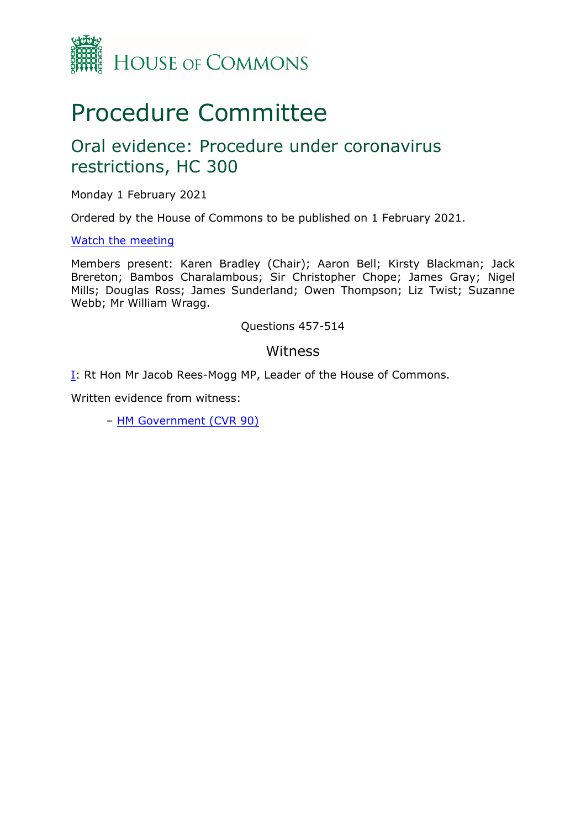

# Procedure Committee

## Oral evidence: Procedure under coronavirus restrictions, HC 300

Monday 1 February 2021

Ordered by the House of Commons to be published on 1 February 2021.

#### [Watch](https://www.parliamentlive.tv/Event/Index/0b511e4c-dab4-4ad5-8b39-3d0866f46c83) [the](https://www.parliamentlive.tv/Event/Index/0b511e4c-dab4-4ad5-8b39-3d0866f46c83) [meeting](https://www.parliamentlive.tv/Event/Index/0b511e4c-dab4-4ad5-8b39-3d0866f46c83)

Members present: Karen Bradley (Chair); Aaron Bell; Kirsty Blackman; Jack Brereton; Bambos Charalambous; Sir Christopher Chope; James Gray; Nigel Mills; Douglas Ross; James Sunderland; Owen Thompson; Liz Twist; Suzanne Webb; Mr William Wragg.

#### Questions 457-514

#### Witness

[I:](#page-1-0) Rt Hon Mr Jacob Rees-Mogg MP, Leader of the House of Commons.

Written evidence from witness:

– [HM](https://committees.parliament.uk/writtenevidence/8472/pdf/) [Government](https://committees.parliament.uk/writtenevidence/8472/pdf/) [\(CVR](https://committees.parliament.uk/writtenevidence/8472/pdf/) [90\)](https://committees.parliament.uk/writtenevidence/8472/pdf/)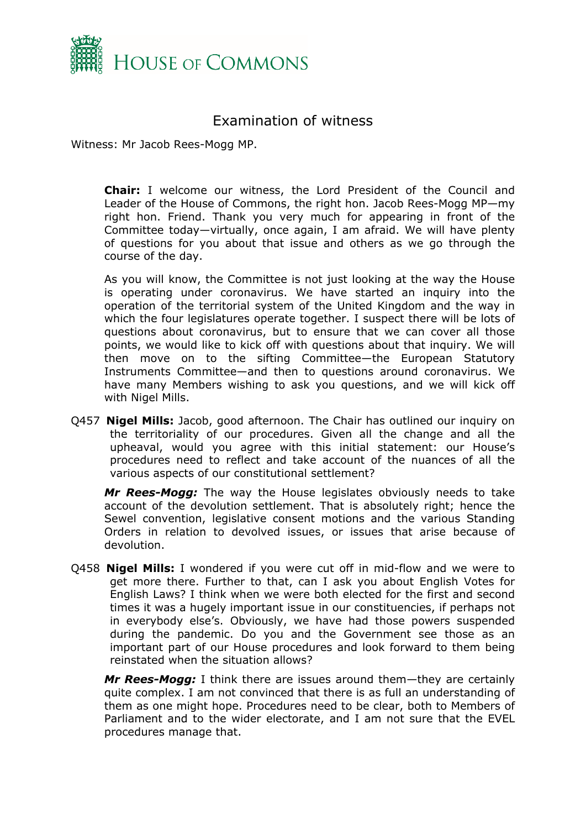

### <span id="page-1-0"></span>Examination of witness

Witness: Mr Jacob Rees-Mogg MP.

**Chair:** I welcome our witness, the Lord President of the Council and Leader of the House of Commons, the right hon. Jacob Rees-Mogg MP—my right hon. Friend. Thank you very much for appearing in front of the Committee today—virtually, once again, I am afraid. We will have plenty of questions for you about that issue and others as we go through the course of the day.

As you will know, the Committee is not just looking at the way the House is operating under coronavirus. We have started an inquiry into the operation of the territorial system of the United Kingdom and the way in which the four legislatures operate together. I suspect there will be lots of questions about coronavirus, but to ensure that we can cover all those points, we would like to kick off with questions about that inquiry. We will then move on to the sifting Committee—the European Statutory Instruments Committee—and then to questions around coronavirus. We have many Members wishing to ask you questions, and we will kick off with Nigel Mills.

Q457 **Nigel Mills:** Jacob, good afternoon. The Chair has outlined our inquiry on the territoriality of our procedures. Given all the change and all the upheaval, would you agree with this initial statement: our House's procedures need to reflect and take account of the nuances of all the various aspects of our constitutional settlement?

*Mr Rees-Mogg:* The way the House legislates obviously needs to take account of the devolution settlement. That is absolutely right; hence the Sewel convention, legislative consent motions and the various Standing Orders in relation to devolved issues, or issues that arise because of devolution.

Q458 **Nigel Mills:** I wondered if you were cut off in mid-flow and we were to get more there. Further to that, can I ask you about English Votes for English Laws? I think when we were both elected for the first and second times it was a hugely important issue in our constituencies, if perhaps not in everybody else's. Obviously, we have had those powers suspended during the pandemic. Do you and the Government see those as an important part of our House procedures and look forward to them being reinstated when the situation allows?

*Mr Rees-Mogg:* I think there are issues around them—they are certainly quite complex. I am not convinced that there is as full an understanding of them as one might hope. Procedures need to be clear, both to Members of Parliament and to the wider electorate, and I am not sure that the EVEL procedures manage that.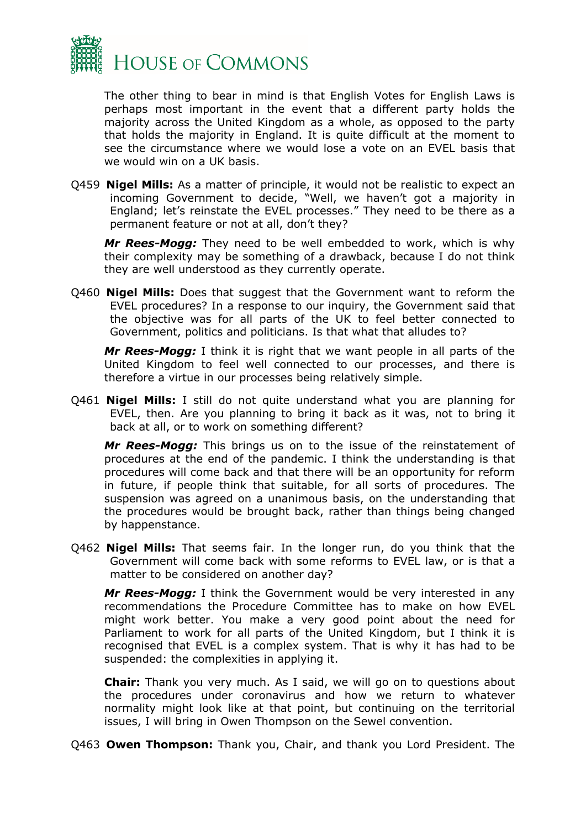

The other thing to bear in mind is that English Votes for English Laws is perhaps most important in the event that a different party holds the majority across the United Kingdom as a whole, as opposed to the party that holds the majority in England. It is quite difficult at the moment to see the circumstance where we would lose a vote on an EVEL basis that we would win on a UK basis.

Q459 **Nigel Mills:** As a matter of principle, it would not be realistic to expect an incoming Government to decide, "Well, we haven't got a majority in England; let's reinstate the EVEL processes." They need to be there as a permanent feature or not at all, don't they?

*Mr Rees-Mogg:* They need to be well embedded to work, which is why their complexity may be something of a drawback, because I do not think they are well understood as they currently operate.

Q460 **Nigel Mills:** Does that suggest that the Government want to reform the EVEL procedures? In a response to our inquiry, the Government said that the objective was for all parts of the UK to feel better connected to Government, politics and politicians. Is that what that alludes to?

*Mr Rees-Mogg:* I think it is right that we want people in all parts of the United Kingdom to feel well connected to our processes, and there is therefore a virtue in our processes being relatively simple.

Q461 **Nigel Mills:** I still do not quite understand what you are planning for EVEL, then. Are you planning to bring it back as it was, not to bring it back at all, or to work on something different?

*Mr Rees-Mogg:* This brings us on to the issue of the reinstatement of procedures at the end of the pandemic. I think the understanding is that procedures will come back and that there will be an opportunity for reform in future, if people think that suitable, for all sorts of procedures. The suspension was agreed on a unanimous basis, on the understanding that the procedures would be brought back, rather than things being changed by happenstance.

Q462 **Nigel Mills:** That seems fair. In the longer run, do you think that the Government will come back with some reforms to EVEL law, or is that a matter to be considered on another day?

*Mr Rees-Mogg:* I think the Government would be very interested in any recommendations the Procedure Committee has to make on how EVEL might work better. You make a very good point about the need for Parliament to work for all parts of the United Kingdom, but I think it is recognised that EVEL is a complex system. That is why it has had to be suspended: the complexities in applying it.

**Chair:** Thank you very much. As I said, we will go on to questions about the procedures under coronavirus and how we return to whatever normality might look like at that point, but continuing on the territorial issues, I will bring in Owen Thompson on the Sewel convention.

Q463 **Owen Thompson:** Thank you, Chair, and thank you Lord President. The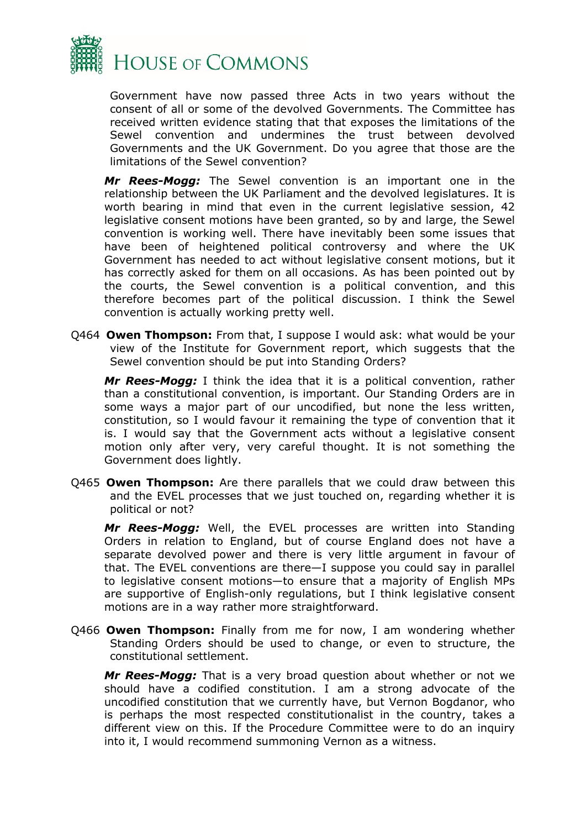

Government have now passed three Acts in two years without the consent of all or some of the devolved Governments. The Committee has received written evidence stating that that exposes the limitations of the Sewel convention and undermines the trust between devolved Governments and the UK Government. Do you agree that those are the limitations of the Sewel convention?

*Mr Rees-Mogg:* The Sewel convention is an important one in the relationship between the UK Parliament and the devolved legislatures. It is worth bearing in mind that even in the current legislative session, 42 legislative consent motions have been granted, so by and large, the Sewel convention is working well. There have inevitably been some issues that have been of heightened political controversy and where the UK Government has needed to act without legislative consent motions, but it has correctly asked for them on all occasions. As has been pointed out by the courts, the Sewel convention is a political convention, and this therefore becomes part of the political discussion. I think the Sewel convention is actually working pretty well.

Q464 **Owen Thompson:** From that, I suppose I would ask: what would be your view of the Institute for Government report, which suggests that the Sewel convention should be put into Standing Orders?

*Mr Rees-Mogg:* I think the idea that it is a political convention, rather than a constitutional convention, is important. Our Standing Orders are in some ways a major part of our uncodified, but none the less written, constitution, so I would favour it remaining the type of convention that it is. I would say that the Government acts without a legislative consent motion only after very, very careful thought. It is not something the Government does lightly.

Q465 **Owen Thompson:** Are there parallels that we could draw between this and the EVEL processes that we just touched on, regarding whether it is political or not?

*Mr Rees-Mogg:* Well, the EVEL processes are written into Standing Orders in relation to England, but of course England does not have a separate devolved power and there is very little argument in favour of that. The EVEL conventions are there—I suppose you could say in parallel to legislative consent motions—to ensure that a majority of English MPs are supportive of English-only regulations, but I think legislative consent motions are in a way rather more straightforward.

Q466 **Owen Thompson:** Finally from me for now, I am wondering whether Standing Orders should be used to change, or even to structure, the constitutional settlement.

*Mr Rees-Mogg:* That is a very broad question about whether or not we should have a codified constitution. I am a strong advocate of the uncodified constitution that we currently have, but Vernon Bogdanor, who is perhaps the most respected constitutionalist in the country, takes a different view on this. If the Procedure Committee were to do an inquiry into it, I would recommend summoning Vernon as a witness.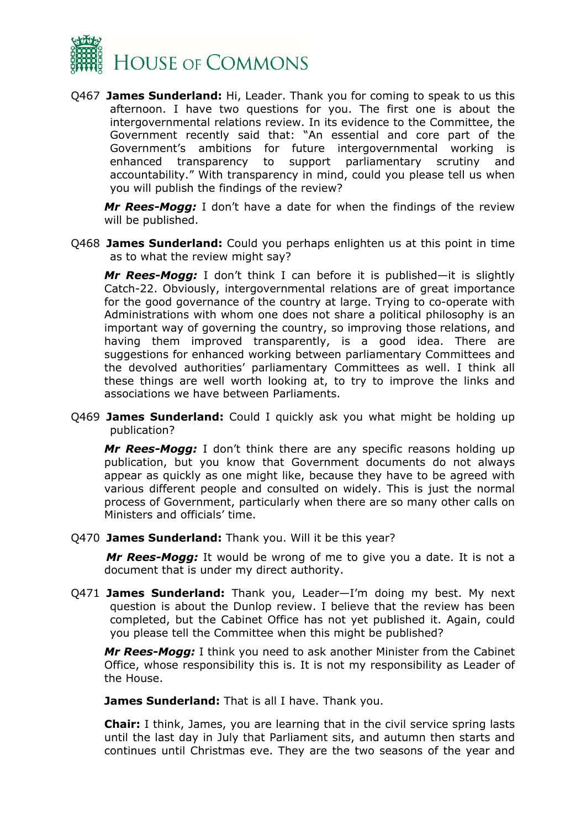

Q467 **James Sunderland:** Hi, Leader. Thank you for coming to speak to us this afternoon. I have two questions for you. The first one is about the intergovernmental relations review. In its evidence to the Committee, the Government recently said that: "An essential and core part of the Government's ambitions for future intergovernmental working is enhanced transparency to support parliamentary scrutiny and accountability." With transparency in mind, could you please tell us when you will publish the findings of the review?

*Mr Rees-Mogg:* I don't have a date for when the findings of the review will be published.

Q468 **James Sunderland:** Could you perhaps enlighten us at this point in time as to what the review might say?

*Mr Rees-Mogg:* I don't think I can before it is published—it is slightly Catch-22. Obviously, intergovernmental relations are of great importance for the good governance of the country at large. Trying to co-operate with Administrations with whom one does not share a political philosophy is an important way of governing the country, so improving those relations, and having them improved transparently, is a good idea. There are suggestions for enhanced working between parliamentary Committees and the devolved authorities' parliamentary Committees as well. I think all these things are well worth looking at, to try to improve the links and associations we have between Parliaments.

Q469 **James Sunderland:** Could I quickly ask you what might be holding up publication?

*Mr Rees-Mogg:* I don't think there are any specific reasons holding up publication, but you know that Government documents do not always appear as quickly as one might like, because they have to be agreed with various different people and consulted on widely. This is just the normal process of Government, particularly when there are so many other calls on Ministers and officials' time.

Q470 **James Sunderland:** Thank you. Will it be this year?

*Mr Rees-Mogg:* It would be wrong of me to give you a date. It is not a document that is under my direct authority.

Q471 **James Sunderland:** Thank you, Leader—I'm doing my best. My next question is about the Dunlop review. I believe that the review has been completed, but the Cabinet Office has not yet published it. Again, could you please tell the Committee when this might be published?

*Mr Rees-Mogg:* I think you need to ask another Minister from the Cabinet Office, whose responsibility this is. It is not my responsibility as Leader of the House.

**James Sunderland:** That is all I have. Thank you.

**Chair:** I think, James, you are learning that in the civil service spring lasts until the last day in July that Parliament sits, and autumn then starts and continues until Christmas eve. They are the two seasons of the year and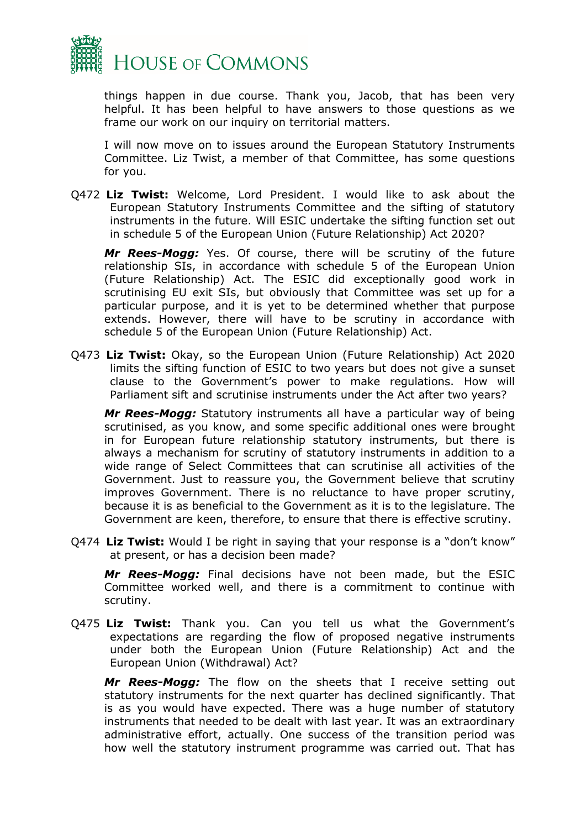

things happen in due course. Thank you, Jacob, that has been very helpful. It has been helpful to have answers to those questions as we frame our work on our inquiry on territorial matters.

I will now move on to issues around the European Statutory Instruments Committee. Liz Twist, a member of that Committee, has some questions for you.

Q472 **Liz Twist:** Welcome, Lord President. I would like to ask about the European Statutory Instruments Committee and the sifting of statutory instruments in the future. Will ESIC undertake the sifting function set out in schedule 5 of the European Union (Future Relationship) Act 2020?

*Mr Rees-Mogg:* Yes. Of course, there will be scrutiny of the future relationship SIs, in accordance with schedule 5 of the European Union (Future Relationship) Act. The ESIC did exceptionally good work in scrutinising EU exit SIs, but obviously that Committee was set up for a particular purpose, and it is yet to be determined whether that purpose extends. However, there will have to be scrutiny in accordance with schedule 5 of the European Union (Future Relationship) Act.

Q473 **Liz Twist:** Okay, so the European Union (Future Relationship) Act 2020 limits the sifting function of ESIC to two years but does not give a sunset clause to the Government's power to make regulations. How will Parliament sift and scrutinise instruments under the Act after two years?

*Mr Rees-Mogg:* Statutory instruments all have a particular way of being scrutinised, as you know, and some specific additional ones were brought in for European future relationship statutory instruments, but there is always a mechanism for scrutiny of statutory instruments in addition to a wide range of Select Committees that can scrutinise all activities of the Government. Just to reassure you, the Government believe that scrutiny improves Government. There is no reluctance to have proper scrutiny, because it is as beneficial to the Government as it is to the legislature. The Government are keen, therefore, to ensure that there is effective scrutiny.

Q474 **Liz Twist:** Would I be right in saying that your response is a "don't know" at present, or has a decision been made?

*Mr Rees-Mogg:* Final decisions have not been made, but the ESIC Committee worked well, and there is a commitment to continue with scrutiny.

Q475 **Liz Twist:** Thank you. Can you tell us what the Government's expectations are regarding the flow of proposed negative instruments under both the European Union (Future Relationship) Act and the European Union (Withdrawal) Act?

*Mr Rees-Mogg:* The flow on the sheets that I receive setting out statutory instruments for the next quarter has declined significantly. That is as you would have expected. There was a huge number of statutory instruments that needed to be dealt with last year. It was an extraordinary administrative effort, actually. One success of the transition period was how well the statutory instrument programme was carried out. That has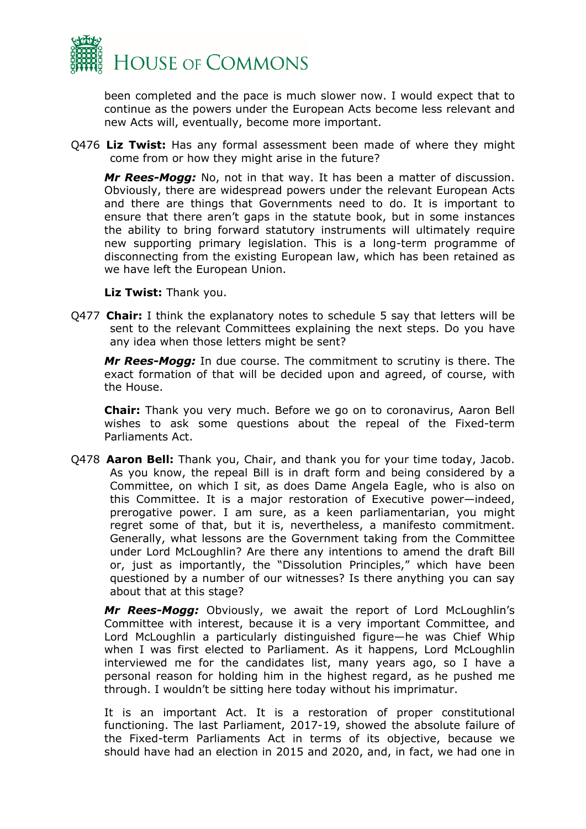

been completed and the pace is much slower now. I would expect that to continue as the powers under the European Acts become less relevant and new Acts will, eventually, become more important.

Q476 **Liz Twist:** Has any formal assessment been made of where they might come from or how they might arise in the future?

*Mr Rees-Mogg:* No, not in that way. It has been a matter of discussion. Obviously, there are widespread powers under the relevant European Acts and there are things that Governments need to do. It is important to ensure that there aren't gaps in the statute book, but in some instances the ability to bring forward statutory instruments will ultimately require new supporting primary legislation. This is a long-term programme of disconnecting from the existing European law, which has been retained as we have left the European Union.

**Liz Twist:** Thank you.

Q477 **Chair:** I think the explanatory notes to schedule 5 say that letters will be sent to the relevant Committees explaining the next steps. Do you have any idea when those letters might be sent?

*Mr Rees-Mogg:* In due course. The commitment to scrutiny is there. The exact formation of that will be decided upon and agreed, of course, with the House.

**Chair:** Thank you very much. Before we go on to coronavirus, Aaron Bell wishes to ask some questions about the repeal of the Fixed-term Parliaments Act.

Q478 **Aaron Bell:** Thank you, Chair, and thank you for your time today, Jacob. As you know, the repeal Bill is in draft form and being considered by a Committee, on which I sit, as does Dame Angela Eagle, who is also on this Committee. It is a major restoration of Executive power—indeed, prerogative power. I am sure, as a keen parliamentarian, you might regret some of that, but it is, nevertheless, a manifesto commitment. Generally, what lessons are the Government taking from the Committee under Lord McLoughlin? Are there any intentions to amend the draft Bill or, just as importantly, the "Dissolution Principles," which have been questioned by a number of our witnesses? Is there anything you can say about that at this stage?

*Mr Rees-Mogg:* Obviously, we await the report of Lord McLoughlin's Committee with interest, because it is a very important Committee, and Lord McLoughlin a particularly distinguished figure—he was Chief Whip when I was first elected to Parliament. As it happens, Lord McLoughlin interviewed me for the candidates list, many years ago, so I have a personal reason for holding him in the highest regard, as he pushed me through. I wouldn't be sitting here today without his imprimatur.

It is an important Act. It is a restoration of proper constitutional functioning. The last Parliament, 2017-19, showed the absolute failure of the Fixed-term Parliaments Act in terms of its objective, because we should have had an election in 2015 and 2020, and, in fact, we had one in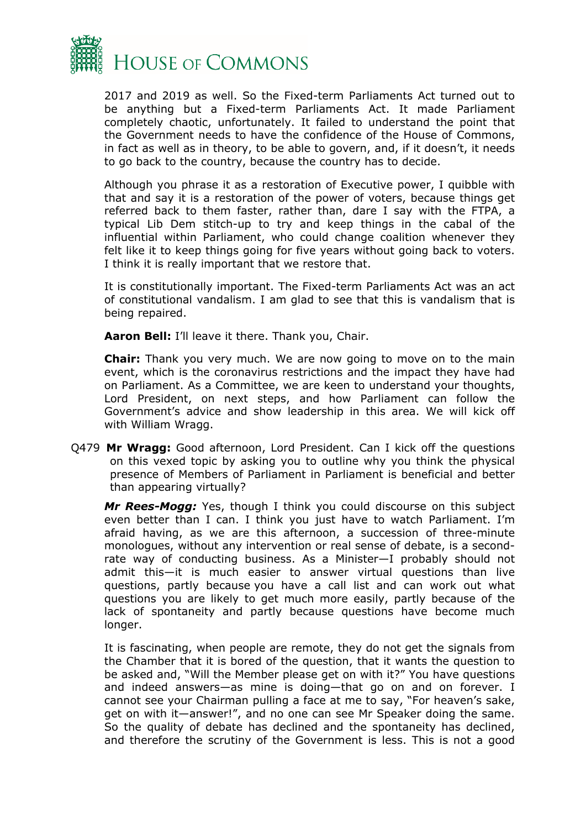

2017 and 2019 as well. So the Fixed-term Parliaments Act turned out to be anything but a Fixed-term Parliaments Act. It made Parliament completely chaotic, unfortunately. It failed to understand the point that the Government needs to have the confidence of the House of Commons, in fact as well as in theory, to be able to govern, and, if it doesn't, it needs to go back to the country, because the country has to decide.

Although you phrase it as a restoration of Executive power, I quibble with that and say it is a restoration of the power of voters, because things get referred back to them faster, rather than, dare I say with the FTPA, a typical Lib Dem stitch-up to try and keep things in the cabal of the influential within Parliament, who could change coalition whenever they felt like it to keep things going for five years without going back to voters. I think it is really important that we restore that.

It is constitutionally important. The Fixed-term Parliaments Act was an act of constitutional vandalism. I am glad to see that this is vandalism that is being repaired.

**Aaron Bell:** I'll leave it there. Thank you, Chair.

**Chair:** Thank you very much. We are now going to move on to the main event, which is the coronavirus restrictions and the impact they have had on Parliament. As a Committee, we are keen to understand your thoughts, Lord President, on next steps, and how Parliament can follow the Government's advice and show leadership in this area. We will kick off with William Wragg.

Q479 **Mr Wragg:** Good afternoon, Lord President. Can I kick off the questions on this vexed topic by asking you to outline why you think the physical presence of Members of Parliament in Parliament is beneficial and better than appearing virtually?

*Mr Rees-Mogg:* Yes, though I think you could discourse on this subject even better than I can. I think you just have to watch Parliament. I'm afraid having, as we are this afternoon, a succession of three-minute monologues, without any intervention or real sense of debate, is a secondrate way of conducting business. As a Minister—I probably should not admit this—it is much easier to answer virtual questions than live questions, partly because you have a call list and can work out what questions you are likely to get much more easily, partly because of the lack of spontaneity and partly because questions have become much longer.

It is fascinating, when people are remote, they do not get the signals from the Chamber that it is bored of the question, that it wants the question to be asked and, "Will the Member please get on with it?" You have questions and indeed answers—as mine is doing—that go on and on forever. I cannot see your Chairman pulling a face at me to say, "For heaven's sake, get on with it—answer!", and no one can see Mr Speaker doing the same. So the quality of debate has declined and the spontaneity has declined, and therefore the scrutiny of the Government is less. This is not a good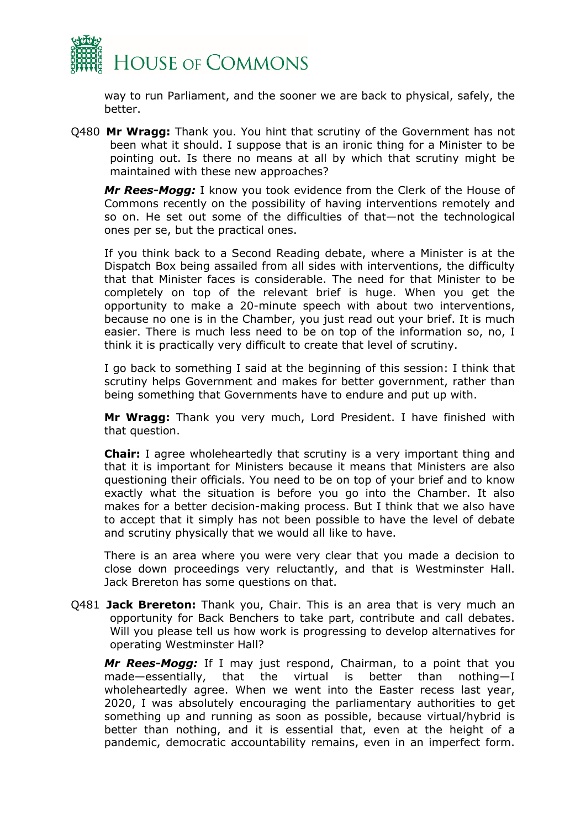

way to run Parliament, and the sooner we are back to physical, safely, the better.

Q480 **Mr Wragg:** Thank you. You hint that scrutiny of the Government has not been what it should. I suppose that is an ironic thing for a Minister to be pointing out. Is there no means at all by which that scrutiny might be maintained with these new approaches?

*Mr Rees-Mogg:* I know you took evidence from the Clerk of the House of Commons recently on the possibility of having interventions remotely and so on. He set out some of the difficulties of that—not the technological ones per se, but the practical ones.

If you think back to a Second Reading debate, where a Minister is at the Dispatch Box being assailed from all sides with interventions, the difficulty that that Minister faces is considerable. The need for that Minister to be completely on top of the relevant brief is huge. When you get the opportunity to make a 20-minute speech with about two interventions, because no one is in the Chamber, you just read out your brief. It is much easier. There is much less need to be on top of the information so, no, I think it is practically very difficult to create that level of scrutiny.

I go back to something I said at the beginning of this session: I think that scrutiny helps Government and makes for better government, rather than being something that Governments have to endure and put up with.

**Mr Wragg:** Thank you very much, Lord President. I have finished with that question.

**Chair:** I agree wholeheartedly that scrutiny is a very important thing and that it is important for Ministers because it means that Ministers are also questioning their officials. You need to be on top of your brief and to know exactly what the situation is before you go into the Chamber. It also makes for a better decision-making process. But I think that we also have to accept that it simply has not been possible to have the level of debate and scrutiny physically that we would all like to have.

There is an area where you were very clear that you made a decision to close down proceedings very reluctantly, and that is Westminster Hall. Jack Brereton has some questions on that.

Q481 **Jack Brereton:** Thank you, Chair. This is an area that is very much an opportunity for Back Benchers to take part, contribute and call debates. Will you please tell us how work is progressing to develop alternatives for operating Westminster Hall?

*Mr Rees-Mogg:* If I may just respond, Chairman, to a point that you made—essentially, that the virtual is better than nothing—I wholeheartedly agree. When we went into the Easter recess last year, 2020, I was absolutely encouraging the parliamentary authorities to get something up and running as soon as possible, because virtual/hybrid is better than nothing, and it is essential that, even at the height of a pandemic, democratic accountability remains, even in an imperfect form.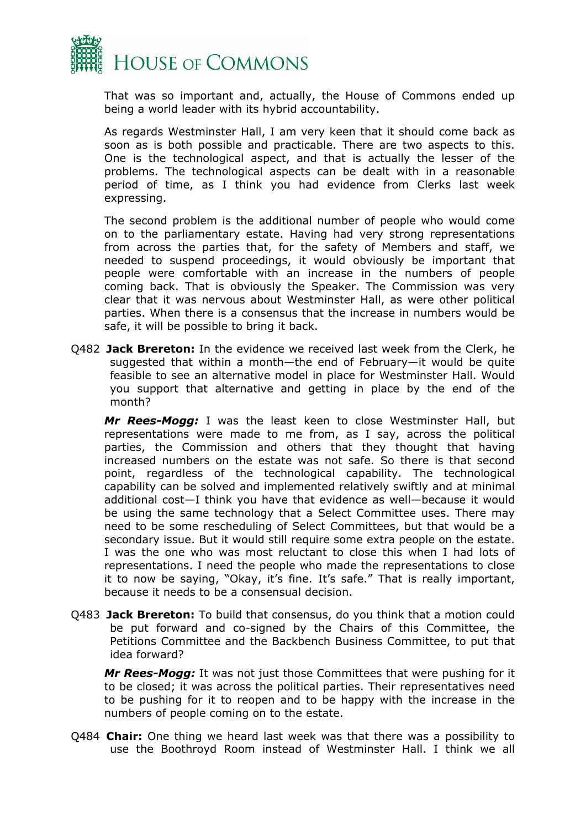

That was so important and, actually, the House of Commons ended up being a world leader with its hybrid accountability.

As regards Westminster Hall, I am very keen that it should come back as soon as is both possible and practicable. There are two aspects to this. One is the technological aspect, and that is actually the lesser of the problems. The technological aspects can be dealt with in a reasonable period of time, as I think you had evidence from Clerks last week expressing.

The second problem is the additional number of people who would come on to the parliamentary estate. Having had very strong representations from across the parties that, for the safety of Members and staff, we needed to suspend proceedings, it would obviously be important that people were comfortable with an increase in the numbers of people coming back. That is obviously the Speaker. The Commission was very clear that it was nervous about Westminster Hall, as were other political parties. When there is a consensus that the increase in numbers would be safe, it will be possible to bring it back.

Q482 **Jack Brereton:** In the evidence we received last week from the Clerk, he suggested that within a month—the end of February—it would be quite feasible to see an alternative model in place for Westminster Hall. Would you support that alternative and getting in place by the end of the month?

*Mr Rees-Mogg:* I was the least keen to close Westminster Hall, but representations were made to me from, as I say, across the political parties, the Commission and others that they thought that having increased numbers on the estate was not safe. So there is that second point, regardless of the technological capability. The technological capability can be solved and implemented relatively swiftly and at minimal additional cost—I think you have that evidence as well—because it would be using the same technology that a Select Committee uses. There may need to be some rescheduling of Select Committees, but that would be a secondary issue. But it would still require some extra people on the estate. I was the one who was most reluctant to close this when I had lots of representations. I need the people who made the representations to close it to now be saying, "Okay, it's fine. It's safe." That is really important, because it needs to be a consensual decision.

Q483 **Jack Brereton:** To build that consensus, do you think that a motion could be put forward and co-signed by the Chairs of this Committee, the Petitions Committee and the Backbench Business Committee, to put that idea forward?

*Mr Rees-Mogg:* It was not just those Committees that were pushing for it to be closed; it was across the political parties. Their representatives need to be pushing for it to reopen and to be happy with the increase in the numbers of people coming on to the estate.

Q484 **Chair:** One thing we heard last week was that there was a possibility to use the Boothroyd Room instead of Westminster Hall. I think we all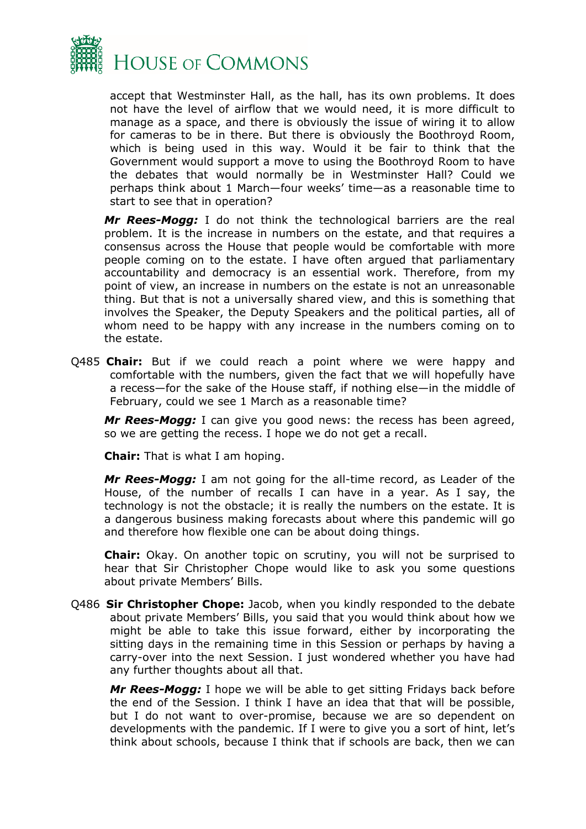

accept that Westminster Hall, as the hall, has its own problems. It does not have the level of airflow that we would need, it is more difficult to manage as a space, and there is obviously the issue of wiring it to allow for cameras to be in there. But there is obviously the Boothroyd Room, which is being used in this way. Would it be fair to think that the Government would support a move to using the Boothroyd Room to have the debates that would normally be in Westminster Hall? Could we perhaps think about 1 March—four weeks' time—as a reasonable time to start to see that in operation?

*Mr Rees-Mogg:* I do not think the technological barriers are the real problem. It is the increase in numbers on the estate, and that requires a consensus across the House that people would be comfortable with more people coming on to the estate. I have often argued that parliamentary accountability and democracy is an essential work. Therefore, from my point of view, an increase in numbers on the estate is not an unreasonable thing. But that is not a universally shared view, and this is something that involves the Speaker, the Deputy Speakers and the political parties, all of whom need to be happy with any increase in the numbers coming on to the estate.

Q485 **Chair:** But if we could reach a point where we were happy and comfortable with the numbers, given the fact that we will hopefully have a recess—for the sake of the House staff, if nothing else—in the middle of February, could we see 1 March as a reasonable time?

*Mr Rees-Mogg:* I can give you good news: the recess has been agreed, so we are getting the recess. I hope we do not get a recall.

**Chair:** That is what I am hoping.

*Mr Rees-Mogg:* I am not going for the all-time record, as Leader of the House, of the number of recalls I can have in a year. As I say, the technology is not the obstacle; it is really the numbers on the estate. It is a dangerous business making forecasts about where this pandemic will go and therefore how flexible one can be about doing things.

**Chair:** Okay. On another topic on scrutiny, you will not be surprised to hear that Sir Christopher Chope would like to ask you some questions about private Members' Bills.

Q486 **Sir Christopher Chope:** Jacob, when you kindly responded to the debate about private Members' Bills, you said that you would think about how we might be able to take this issue forward, either by incorporating the sitting days in the remaining time in this Session or perhaps by having a carry-over into the next Session. I just wondered whether you have had any further thoughts about all that.

*Mr Rees-Mogg:* I hope we will be able to get sitting Fridays back before the end of the Session. I think I have an idea that that will be possible, but I do not want to over-promise, because we are so dependent on developments with the pandemic. If I were to give you a sort of hint, let's think about schools, because I think that if schools are back, then we can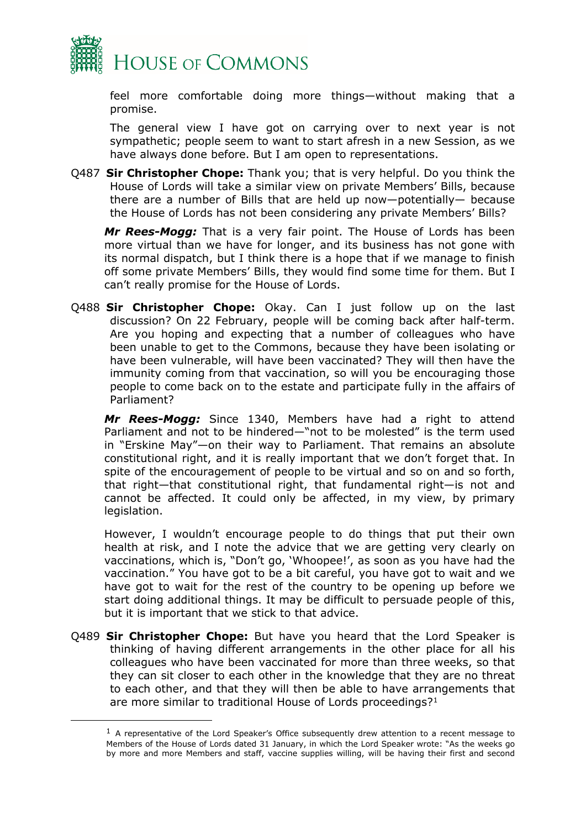

feel more comfortable doing more things—without making that a promise.

The general view I have got on carrying over to next year is not sympathetic; people seem to want to start afresh in a new Session, as we have always done before. But I am open to representations.

Q487 **Sir Christopher Chope:** Thank you; that is very helpful. Do you think the House of Lords will take a similar view on private Members' Bills, because there are a number of Bills that are held up now—potentially— because the House of Lords has not been considering any private Members' Bills?

*Mr Rees-Mogg:* That is a very fair point. The House of Lords has been more virtual than we have for longer, and its business has not gone with its normal dispatch, but I think there is a hope that if we manage to finish off some private Members' Bills, they would find some time for them. But I can't really promise for the House of Lords.

Q488 **Sir Christopher Chope:** Okay. Can I just follow up on the last discussion? On 22 February, people will be coming back after half-term. Are you hoping and expecting that a number of colleagues who have been unable to get to the Commons, because they have been isolating or have been vulnerable, will have been vaccinated? They will then have the immunity coming from that vaccination, so will you be encouraging those people to come back on to the estate and participate fully in the affairs of Parliament?

*Mr Rees-Mogg:* Since 1340, Members have had a right to attend Parliament and not to be hindered—"not to be molested" is the term used in "Erskine May"—on their way to Parliament. That remains an absolute constitutional right, and it is really important that we don't forget that. In spite of the encouragement of people to be virtual and so on and so forth, that right—that constitutional right, that fundamental right—is not and cannot be affected. It could only be affected, in my view, by primary legislation.

However, I wouldn't encourage people to do things that put their own health at risk, and I note the advice that we are getting very clearly on vaccinations, which is, "Don't go, 'Whoopee!', as soon as you have had the vaccination." You have got to be a bit careful, you have got to wait and we have got to wait for the rest of the country to be opening up before we start doing additional things. It may be difficult to persuade people of this, but it is important that we stick to that advice.

Q489 **Sir Christopher Chope:** But have you heard that the Lord Speaker is thinking of having different arrangements in the other place for all his colleagues who have been vaccinated for more than three weeks, so that they can sit closer to each other in the knowledge that they are no threat to each other, and that they will then be able to have arrangements that are more similar to traditional House of Lords proceedings?<sup>1</sup>

 $1$  A representative of the Lord Speaker's Office subsequently drew attention to a recent message to Members of the House of Lords dated 31 January, in which the Lord Speaker wrote: "As the weeks go by more and more Members and staff, vaccine supplies willing, will be having their first and second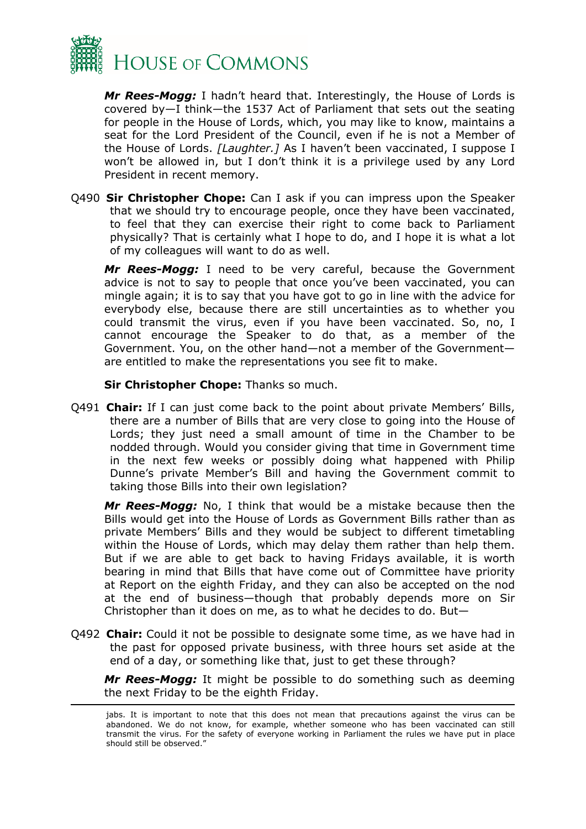

*Mr Rees-Mogg:* I hadn't heard that. Interestingly, the House of Lords is covered by—I think—the 1537 Act of Parliament that sets out the seating for people in the House of Lords, which, you may like to know, maintains a seat for the Lord President of the Council, even if he is not a Member of the House of Lords. *[Laughter.]* As I haven't been vaccinated, I suppose I won't be allowed in, but I don't think it is a privilege used by any Lord President in recent memory.

Q490 **Sir Christopher Chope:** Can I ask if you can impress upon the Speaker that we should try to encourage people, once they have been vaccinated, to feel that they can exercise their right to come back to Parliament physically? That is certainly what I hope to do, and I hope it is what a lot of my colleagues will want to do as well.

*Mr Rees-Mogg:* I need to be very careful, because the Government advice is not to say to people that once you've been vaccinated, you can mingle again; it is to say that you have got to go in line with the advice for everybody else, because there are still uncertainties as to whether you could transmit the virus, even if you have been vaccinated. So, no, I cannot encourage the Speaker to do that, as a member of the Government. You, on the other hand—not a member of the Government are entitled to make the representations you see fit to make.

**Sir Christopher Chope:** Thanks so much.

Q491 **Chair:** If I can just come back to the point about private Members' Bills, there are a number of Bills that are very close to going into the House of Lords; they just need a small amount of time in the Chamber to be nodded through. Would you consider giving that time in Government time in the next few weeks or possibly doing what happened with Philip Dunne's private Member's Bill and having the Government commit to taking those Bills into their own legislation?

*Mr Rees-Mogg:* No, I think that would be a mistake because then the Bills would get into the House of Lords as Government Bills rather than as private Members' Bills and they would be subject to different timetabling within the House of Lords, which may delay them rather than help them. But if we are able to get back to having Fridays available, it is worth bearing in mind that Bills that have come out of Committee have priority at Report on the eighth Friday, and they can also be accepted on the nod at the end of business—though that probably depends more on Sir Christopher than it does on me, as to what he decides to do. But—

Q492 **Chair:** Could it not be possible to designate some time, as we have had in the past for opposed private business, with three hours set aside at the end of a day, or something like that, just to get these through?

*Mr Rees-Mogg:* It might be possible to do something such as deeming the next Friday to be the eighth Friday.

jabs. It is important to note that this does not mean that precautions against the virus can be abandoned. We do not know, for example, whether someone who has been vaccinated can still transmit the virus. For the safety of everyone working in Parliament the rules we have put in place should still be observed."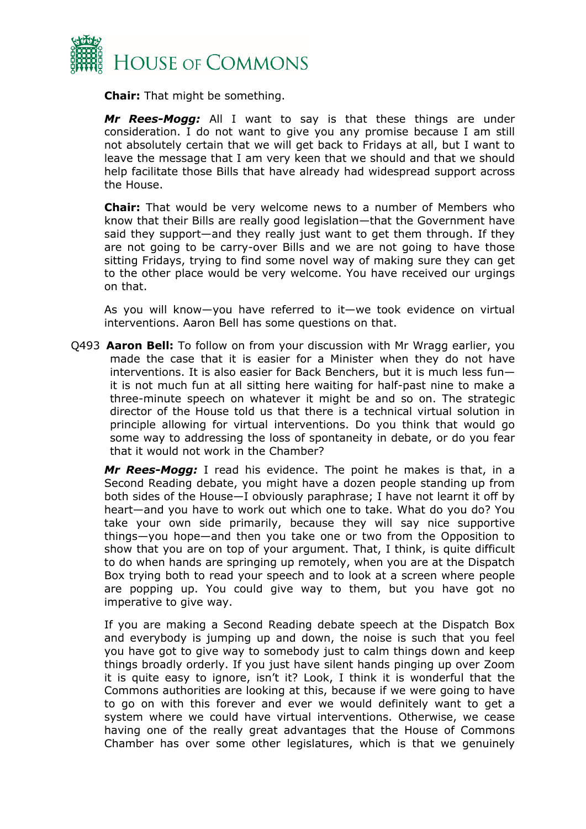

**Chair:** That might be something.

*Mr Rees-Mogg:* All I want to say is that these things are under consideration. I do not want to give you any promise because I am still not absolutely certain that we will get back to Fridays at all, but I want to leave the message that I am very keen that we should and that we should help facilitate those Bills that have already had widespread support across the House.

**Chair:** That would be very welcome news to a number of Members who know that their Bills are really good legislation—that the Government have said they support—and they really just want to get them through. If they are not going to be carry-over Bills and we are not going to have those sitting Fridays, trying to find some novel way of making sure they can get to the other place would be very welcome. You have received our urgings on that.

As you will know—you have referred to it—we took evidence on virtual interventions. Aaron Bell has some questions on that.

Q493 **Aaron Bell:** To follow on from your discussion with Mr Wragg earlier, you made the case that it is easier for a Minister when they do not have interventions. It is also easier for Back Benchers, but it is much less fun it is not much fun at all sitting here waiting for half-past nine to make a three-minute speech on whatever it might be and so on. The strategic director of the House told us that there is a technical virtual solution in principle allowing for virtual interventions. Do you think that would go some way to addressing the loss of spontaneity in debate, or do you fear that it would not work in the Chamber?

*Mr Rees-Mogg:* I read his evidence. The point he makes is that, in a Second Reading debate, you might have a dozen people standing up from both sides of the House—I obviously paraphrase; I have not learnt it off by heart—and you have to work out which one to take. What do you do? You take your own side primarily, because they will say nice supportive things—you hope—and then you take one or two from the Opposition to show that you are on top of your argument. That, I think, is quite difficult to do when hands are springing up remotely, when you are at the Dispatch Box trying both to read your speech and to look at a screen where people are popping up. You could give way to them, but you have got no imperative to give way.

If you are making a Second Reading debate speech at the Dispatch Box and everybody is jumping up and down, the noise is such that you feel you have got to give way to somebody just to calm things down and keep things broadly orderly. If you just have silent hands pinging up over Zoom it is quite easy to ignore, isn't it? Look, I think it is wonderful that the Commons authorities are looking at this, because if we were going to have to go on with this forever and ever we would definitely want to get a system where we could have virtual interventions. Otherwise, we cease having one of the really great advantages that the House of Commons Chamber has over some other legislatures, which is that we genuinely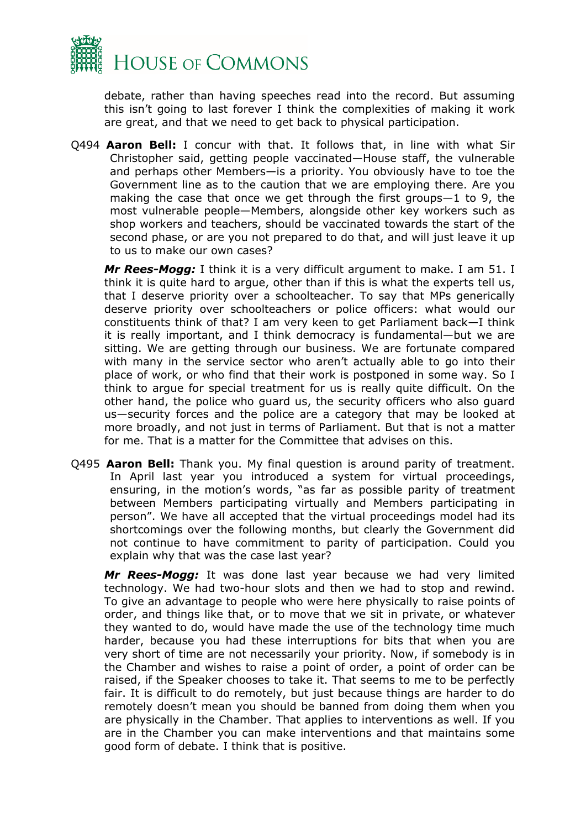

debate, rather than having speeches read into the record. But assuming this isn't going to last forever I think the complexities of making it work are great, and that we need to get back to physical participation.

Q494 **Aaron Bell:** I concur with that. It follows that, in line with what Sir Christopher said, getting people vaccinated—House staff, the vulnerable and perhaps other Members—is a priority. You obviously have to toe the Government line as to the caution that we are employing there. Are you making the case that once we get through the first groups—1 to 9, the most vulnerable people—Members, alongside other key workers such as shop workers and teachers, should be vaccinated towards the start of the second phase, or are you not prepared to do that, and will just leave it up to us to make our own cases?

*Mr Rees-Mogg:* I think it is a very difficult argument to make. I am 51. I think it is quite hard to argue, other than if this is what the experts tell us, that I deserve priority over a schoolteacher. To say that MPs generically deserve priority over schoolteachers or police officers: what would our constituents think of that? I am very keen to get Parliament back—I think it is really important, and I think democracy is fundamental—but we are sitting. We are getting through our business. We are fortunate compared with many in the service sector who aren't actually able to go into their place of work, or who find that their work is postponed in some way. So I think to argue for special treatment for us is really quite difficult. On the other hand, the police who guard us, the security officers who also guard us—security forces and the police are a category that may be looked at more broadly, and not just in terms of Parliament. But that is not a matter for me. That is a matter for the Committee that advises on this.

Q495 **Aaron Bell:** Thank you. My final question is around parity of treatment. In April last year you introduced a system for virtual proceedings, ensuring, in the motion's words, "as far as possible parity of treatment between Members participating virtually and Members participating in person". We have all accepted that the virtual proceedings model had its shortcomings over the following months, but clearly the Government did not continue to have commitment to parity of participation. Could you explain why that was the case last year?

*Mr Rees-Mogg:* It was done last year because we had very limited technology. We had two-hour slots and then we had to stop and rewind. To give an advantage to people who were here physically to raise points of order, and things like that, or to move that we sit in private, or whatever they wanted to do, would have made the use of the technology time much harder, because you had these interruptions for bits that when you are very short of time are not necessarily your priority. Now, if somebody is in the Chamber and wishes to raise a point of order, a point of order can be raised, if the Speaker chooses to take it. That seems to me to be perfectly fair. It is difficult to do remotely, but just because things are harder to do remotely doesn't mean you should be banned from doing them when you are physically in the Chamber. That applies to interventions as well. If you are in the Chamber you can make interventions and that maintains some good form of debate. I think that is positive.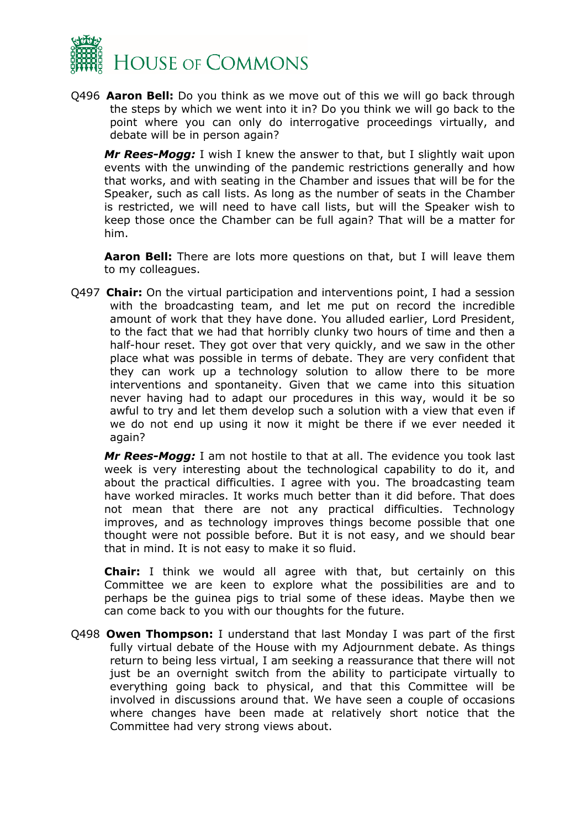

Q496 **Aaron Bell:** Do you think as we move out of this we will go back through the steps by which we went into it in? Do you think we will go back to the point where you can only do interrogative proceedings virtually, and debate will be in person again?

*Mr Rees-Mogg:* I wish I knew the answer to that, but I slightly wait upon events with the unwinding of the pandemic restrictions generally and how that works, and with seating in the Chamber and issues that will be for the Speaker, such as call lists. As long as the number of seats in the Chamber is restricted, we will need to have call lists, but will the Speaker wish to keep those once the Chamber can be full again? That will be a matter for him.

**Aaron Bell:** There are lots more questions on that, but I will leave them to my colleagues.

Q497 **Chair:** On the virtual participation and interventions point, I had a session with the broadcasting team, and let me put on record the incredible amount of work that they have done. You alluded earlier, Lord President, to the fact that we had that horribly clunky two hours of time and then a half-hour reset. They got over that very quickly, and we saw in the other place what was possible in terms of debate. They are very confident that they can work up a technology solution to allow there to be more interventions and spontaneity. Given that we came into this situation never having had to adapt our procedures in this way, would it be so awful to try and let them develop such a solution with a view that even if we do not end up using it now it might be there if we ever needed it again?

*Mr Rees-Mogg:* I am not hostile to that at all. The evidence you took last week is very interesting about the technological capability to do it, and about the practical difficulties. I agree with you. The broadcasting team have worked miracles. It works much better than it did before. That does not mean that there are not any practical difficulties. Technology improves, and as technology improves things become possible that one thought were not possible before. But it is not easy, and we should bear that in mind. It is not easy to make it so fluid.

**Chair:** I think we would all agree with that, but certainly on this Committee we are keen to explore what the possibilities are and to perhaps be the guinea pigs to trial some of these ideas. Maybe then we can come back to you with our thoughts for the future.

Q498 **Owen Thompson:** I understand that last Monday I was part of the first fully virtual debate of the House with my Adjournment debate. As things return to being less virtual, I am seeking a reassurance that there will not just be an overnight switch from the ability to participate virtually to everything going back to physical, and that this Committee will be involved in discussions around that. We have seen a couple of occasions where changes have been made at relatively short notice that the Committee had very strong views about.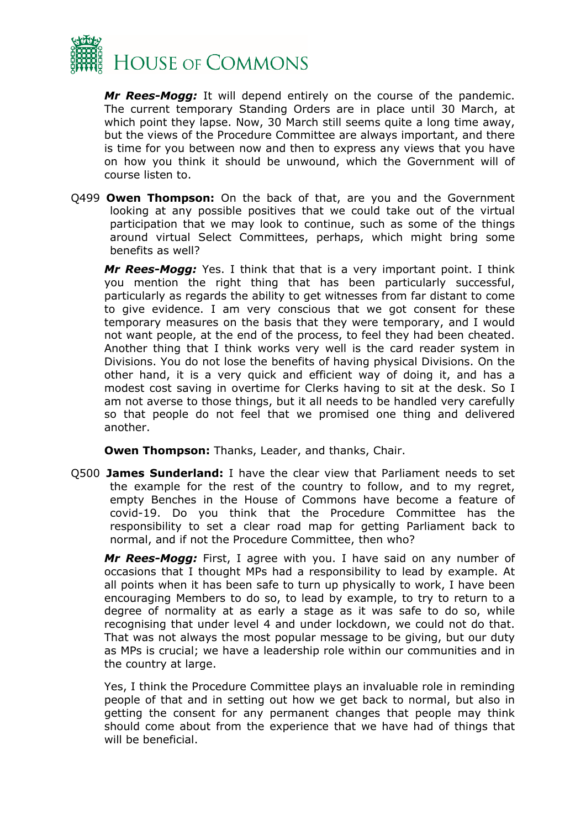

*Mr Rees-Mogg:* It will depend entirely on the course of the pandemic. The current temporary Standing Orders are in place until 30 March, at which point they lapse. Now, 30 March still seems quite a long time away, but the views of the Procedure Committee are always important, and there is time for you between now and then to express any views that you have on how you think it should be unwound, which the Government will of course listen to.

Q499 **Owen Thompson:** On the back of that, are you and the Government looking at any possible positives that we could take out of the virtual participation that we may look to continue, such as some of the things around virtual Select Committees, perhaps, which might bring some benefits as well?

*Mr Rees-Mogg:* Yes. I think that that is a very important point. I think you mention the right thing that has been particularly successful, particularly as regards the ability to get witnesses from far distant to come to give evidence. I am very conscious that we got consent for these temporary measures on the basis that they were temporary, and I would not want people, at the end of the process, to feel they had been cheated. Another thing that I think works very well is the card reader system in Divisions. You do not lose the benefits of having physical Divisions. On the other hand, it is a very quick and efficient way of doing it, and has a modest cost saving in overtime for Clerks having to sit at the desk. So I am not averse to those things, but it all needs to be handled very carefully so that people do not feel that we promised one thing and delivered another.

**Owen Thompson:** Thanks, Leader, and thanks, Chair.

Q500 **James Sunderland:** I have the clear view that Parliament needs to set the example for the rest of the country to follow, and to my regret, empty Benches in the House of Commons have become a feature of covid-19. Do you think that the Procedure Committee has the responsibility to set a clear road map for getting Parliament back to normal, and if not the Procedure Committee, then who?

*Mr Rees-Mogg:* First, I agree with you. I have said on any number of occasions that I thought MPs had a responsibility to lead by example. At all points when it has been safe to turn up physically to work, I have been encouraging Members to do so, to lead by example, to try to return to a degree of normality at as early a stage as it was safe to do so, while recognising that under level 4 and under lockdown, we could not do that. That was not always the most popular message to be giving, but our duty as MPs is crucial; we have a leadership role within our communities and in the country at large.

Yes, I think the Procedure Committee plays an invaluable role in reminding people of that and in setting out how we get back to normal, but also in getting the consent for any permanent changes that people may think should come about from the experience that we have had of things that will be beneficial.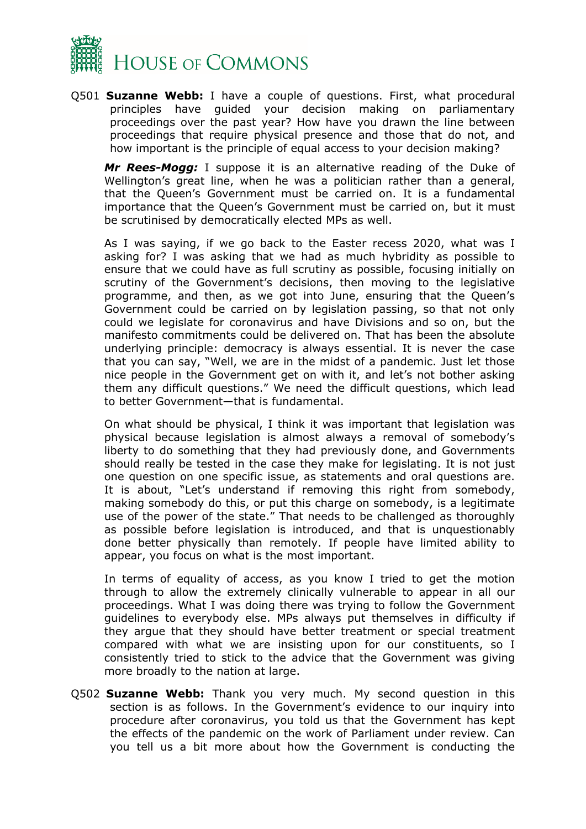

Q501 **Suzanne Webb:** I have a couple of questions. First, what procedural principles have guided your decision making on parliamentary proceedings over the past year? How have you drawn the line between proceedings that require physical presence and those that do not, and how important is the principle of equal access to your decision making?

*Mr Rees-Mogg:* I suppose it is an alternative reading of the Duke of Wellington's great line, when he was a politician rather than a general, that the Queen's Government must be carried on. It is a fundamental importance that the Queen's Government must be carried on, but it must be scrutinised by democratically elected MPs as well.

As I was saying, if we go back to the Easter recess 2020, what was I asking for? I was asking that we had as much hybridity as possible to ensure that we could have as full scrutiny as possible, focusing initially on scrutiny of the Government's decisions, then moving to the legislative programme, and then, as we got into June, ensuring that the Queen's Government could be carried on by legislation passing, so that not only could we legislate for coronavirus and have Divisions and so on, but the manifesto commitments could be delivered on. That has been the absolute underlying principle: democracy is always essential. It is never the case that you can say, "Well, we are in the midst of a pandemic. Just let those nice people in the Government get on with it, and let's not bother asking them any difficult questions." We need the difficult questions, which lead to better Government—that is fundamental.

On what should be physical, I think it was important that legislation was physical because legislation is almost always a removal of somebody's liberty to do something that they had previously done, and Governments should really be tested in the case they make for legislating. It is not just one question on one specific issue, as statements and oral questions are. It is about, "Let's understand if removing this right from somebody, making somebody do this, or put this charge on somebody, is a legitimate use of the power of the state." That needs to be challenged as thoroughly as possible before legislation is introduced, and that is unquestionably done better physically than remotely. If people have limited ability to appear, you focus on what is the most important.

In terms of equality of access, as you know I tried to get the motion through to allow the extremely clinically vulnerable to appear in all our proceedings. What I was doing there was trying to follow the Government guidelines to everybody else. MPs always put themselves in difficulty if they argue that they should have better treatment or special treatment compared with what we are insisting upon for our constituents, so I consistently tried to stick to the advice that the Government was giving more broadly to the nation at large.

Q502 **Suzanne Webb:** Thank you very much. My second question in this section is as follows. In the Government's evidence to our inquiry into procedure after coronavirus, you told us that the Government has kept the effects of the pandemic on the work of Parliament under review. Can you tell us a bit more about how the Government is conducting the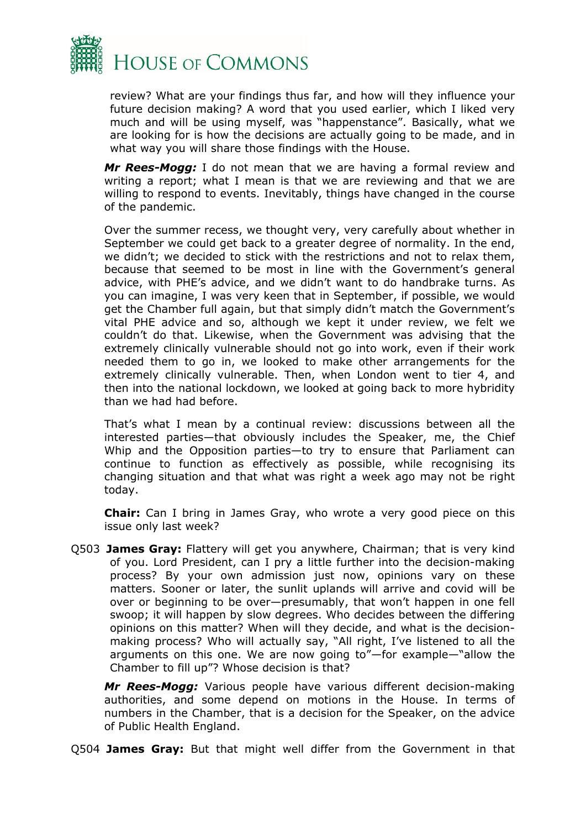

review? What are your findings thus far, and how will they influence your future decision making? A word that you used earlier, which I liked very much and will be using myself, was "happenstance". Basically, what we are looking for is how the decisions are actually going to be made, and in what way you will share those findings with the House.

*Mr Rees-Mogg:* I do not mean that we are having a formal review and writing a report; what I mean is that we are reviewing and that we are willing to respond to events. Inevitably, things have changed in the course of the pandemic.

Over the summer recess, we thought very, very carefully about whether in September we could get back to a greater degree of normality. In the end, we didn't; we decided to stick with the restrictions and not to relax them, because that seemed to be most in line with the Government's general advice, with PHE's advice, and we didn't want to do handbrake turns. As you can imagine, I was very keen that in September, if possible, we would get the Chamber full again, but that simply didn't match the Government's vital PHE advice and so, although we kept it under review, we felt we couldn't do that. Likewise, when the Government was advising that the extremely clinically vulnerable should not go into work, even if their work needed them to go in, we looked to make other arrangements for the extremely clinically vulnerable. Then, when London went to tier 4, and then into the national lockdown, we looked at going back to more hybridity than we had had before.

That's what I mean by a continual review: discussions between all the interested parties—that obviously includes the Speaker, me, the Chief Whip and the Opposition parties—to try to ensure that Parliament can continue to function as effectively as possible, while recognising its changing situation and that what was right a week ago may not be right today.

**Chair:** Can I bring in James Gray, who wrote a very good piece on this issue only last week?

Q503 **James Gray:** Flattery will get you anywhere, Chairman; that is very kind of you. Lord President, can I pry a little further into the decision-making process? By your own admission just now, opinions vary on these matters. Sooner or later, the sunlit uplands will arrive and covid will be over or beginning to be over—presumably, that won't happen in one fell swoop; it will happen by slow degrees. Who decides between the differing opinions on this matter? When will they decide, and what is the decisionmaking process? Who will actually say, "All right, I've listened to all the arguments on this one. We are now going to"—for example—"allow the Chamber to fill up"? Whose decision is that?

*Mr Rees-Mogg:* Various people have various different decision-making authorities, and some depend on motions in the House. In terms of numbers in the Chamber, that is a decision for the Speaker, on the advice of Public Health England.

Q504 **James Gray:** But that might well differ from the Government in that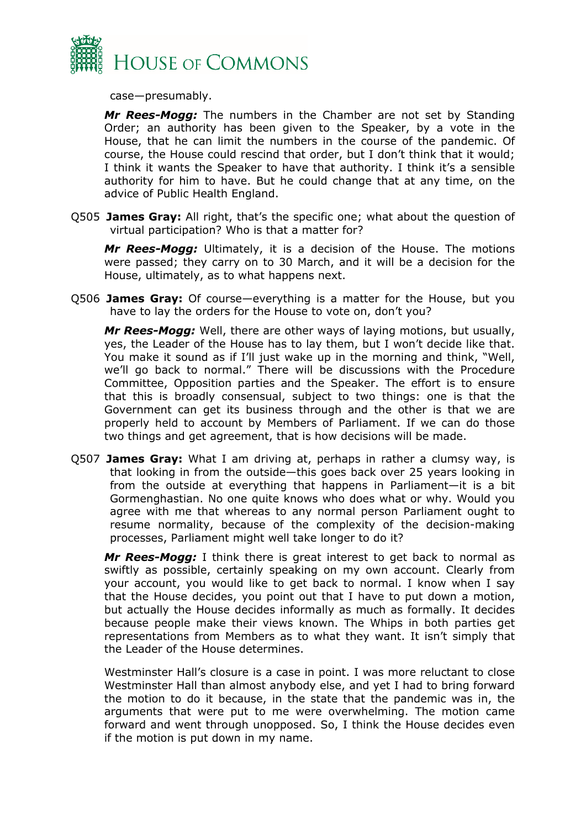

case—presumably.

*Mr Rees-Mogg:* The numbers in the Chamber are not set by Standing Order; an authority has been given to the Speaker, by a vote in the House, that he can limit the numbers in the course of the pandemic. Of course, the House could rescind that order, but I don't think that it would; I think it wants the Speaker to have that authority. I think it's a sensible authority for him to have. But he could change that at any time, on the advice of Public Health England.

Q505 **James Gray:** All right, that's the specific one; what about the question of virtual participation? Who is that a matter for?

*Mr Rees-Mogg:* Ultimately, it is a decision of the House. The motions were passed; they carry on to 30 March, and it will be a decision for the House, ultimately, as to what happens next.

Q506 **James Gray:** Of course—everything is a matter for the House, but you have to lay the orders for the House to vote on, don't you?

*Mr Rees-Mogg:* Well, there are other ways of laying motions, but usually, yes, the Leader of the House has to lay them, but I won't decide like that. You make it sound as if I'll just wake up in the morning and think, "Well, we'll go back to normal." There will be discussions with the Procedure Committee, Opposition parties and the Speaker. The effort is to ensure that this is broadly consensual, subject to two things: one is that the Government can get its business through and the other is that we are properly held to account by Members of Parliament. If we can do those two things and get agreement, that is how decisions will be made.

Q507 **James Gray:** What I am driving at, perhaps in rather a clumsy way, is that looking in from the outside—this goes back over 25 years looking in from the outside at everything that happens in Parliament—it is a bit Gormenghastian. No one quite knows who does what or why. Would you agree with me that whereas to any normal person Parliament ought to resume normality, because of the complexity of the decision-making processes, Parliament might well take longer to do it?

*Mr Rees-Mogg:* I think there is great interest to get back to normal as swiftly as possible, certainly speaking on my own account. Clearly from your account, you would like to get back to normal. I know when I say that the House decides, you point out that I have to put down a motion, but actually the House decides informally as much as formally. It decides because people make their views known. The Whips in both parties get representations from Members as to what they want. It isn't simply that the Leader of the House determines.

Westminster Hall's closure is a case in point. I was more reluctant to close Westminster Hall than almost anybody else, and yet I had to bring forward the motion to do it because, in the state that the pandemic was in, the arguments that were put to me were overwhelming. The motion came forward and went through unopposed. So, I think the House decides even if the motion is put down in my name.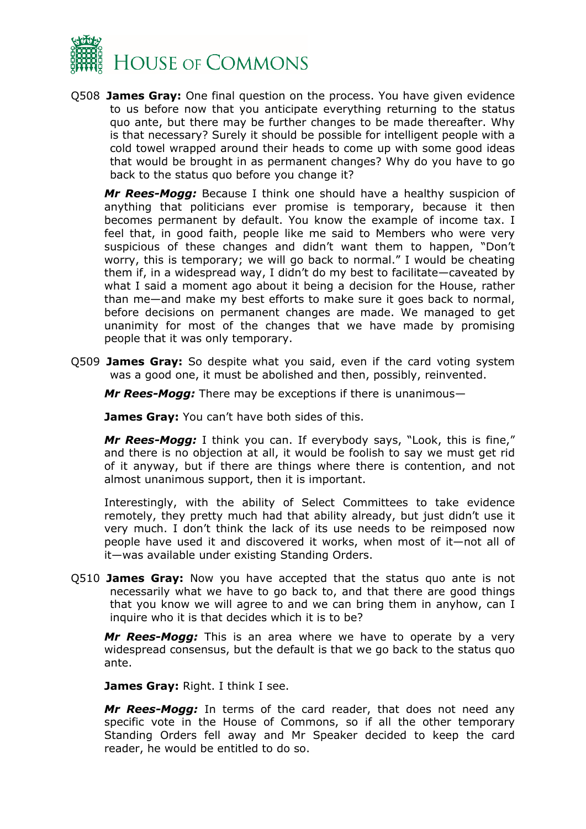

Q508 **James Gray:** One final question on the process. You have given evidence to us before now that you anticipate everything returning to the status quo ante, but there may be further changes to be made thereafter. Why is that necessary? Surely it should be possible for intelligent people with a cold towel wrapped around their heads to come up with some good ideas that would be brought in as permanent changes? Why do you have to go back to the status quo before you change it?

*Mr Rees-Mogg:* Because I think one should have a healthy suspicion of anything that politicians ever promise is temporary, because it then becomes permanent by default. You know the example of income tax. I feel that, in good faith, people like me said to Members who were very suspicious of these changes and didn't want them to happen, "Don't worry, this is temporary; we will go back to normal." I would be cheating them if, in a widespread way, I didn't do my best to facilitate—caveated by what I said a moment ago about it being a decision for the House, rather than me—and make my best efforts to make sure it goes back to normal, before decisions on permanent changes are made. We managed to get unanimity for most of the changes that we have made by promising people that it was only temporary.

Q509 **James Gray:** So despite what you said, even if the card voting system was a good one, it must be abolished and then, possibly, reinvented.

*Mr Rees-Mogg:* There may be exceptions if there is unanimous—

**James Gray:** You can't have both sides of this.

*Mr Rees-Mogg:* I think you can. If everybody says, "Look, this is fine," and there is no objection at all, it would be foolish to say we must get rid of it anyway, but if there are things where there is contention, and not almost unanimous support, then it is important.

Interestingly, with the ability of Select Committees to take evidence remotely, they pretty much had that ability already, but just didn't use it very much. I don't think the lack of its use needs to be reimposed now people have used it and discovered it works, when most of it—not all of it—was available under existing Standing Orders.

Q510 **James Gray:** Now you have accepted that the status quo ante is not necessarily what we have to go back to, and that there are good things that you know we will agree to and we can bring them in anyhow, can I inquire who it is that decides which it is to be?

*Mr Rees-Mogg:* This is an area where we have to operate by a very widespread consensus, but the default is that we go back to the status quo ante.

**James Gray:** Right. I think I see.

*Mr Rees-Mogg:* In terms of the card reader, that does not need any specific vote in the House of Commons, so if all the other temporary Standing Orders fell away and Mr Speaker decided to keep the card reader, he would be entitled to do so.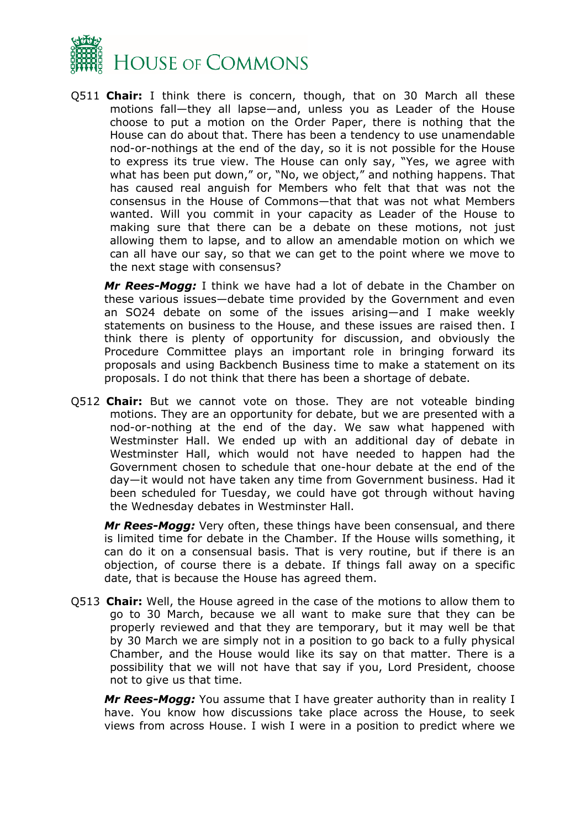

Q511 **Chair:** I think there is concern, though, that on 30 March all these motions fall—they all lapse—and, unless you as Leader of the House choose to put a motion on the Order Paper, there is nothing that the House can do about that. There has been a tendency to use unamendable nod-or-nothings at the end of the day, so it is not possible for the House to express its true view. The House can only say, "Yes, we agree with what has been put down," or, "No, we object," and nothing happens. That has caused real anguish for Members who felt that that was not the consensus in the House of Commons—that that was not what Members wanted. Will you commit in your capacity as Leader of the House to making sure that there can be a debate on these motions, not just allowing them to lapse, and to allow an amendable motion on which we can all have our say, so that we can get to the point where we move to the next stage with consensus?

*Mr Rees-Mogg:* I think we have had a lot of debate in the Chamber on these various issues—debate time provided by the Government and even an SO24 debate on some of the issues arising—and I make weekly statements on business to the House, and these issues are raised then. I think there is plenty of opportunity for discussion, and obviously the Procedure Committee plays an important role in bringing forward its proposals and using Backbench Business time to make a statement on its proposals. I do not think that there has been a shortage of debate.

Q512 **Chair:** But we cannot vote on those. They are not voteable binding motions. They are an opportunity for debate, but we are presented with a nod-or-nothing at the end of the day. We saw what happened with Westminster Hall. We ended up with an additional day of debate in Westminster Hall, which would not have needed to happen had the Government chosen to schedule that one-hour debate at the end of the day—it would not have taken any time from Government business. Had it been scheduled for Tuesday, we could have got through without having the Wednesday debates in Westminster Hall.

*Mr Rees-Mogg:* Very often, these things have been consensual, and there is limited time for debate in the Chamber. If the House wills something, it can do it on a consensual basis. That is very routine, but if there is an objection, of course there is a debate. If things fall away on a specific date, that is because the House has agreed them.

Q513 **Chair:** Well, the House agreed in the case of the motions to allow them to go to 30 March, because we all want to make sure that they can be properly reviewed and that they are temporary, but it may well be that by 30 March we are simply not in a position to go back to a fully physical Chamber, and the House would like its say on that matter. There is a possibility that we will not have that say if you, Lord President, choose not to give us that time.

*Mr Rees-Mogg:* You assume that I have greater authority than in reality I have. You know how discussions take place across the House, to seek views from across House. I wish I were in a position to predict where we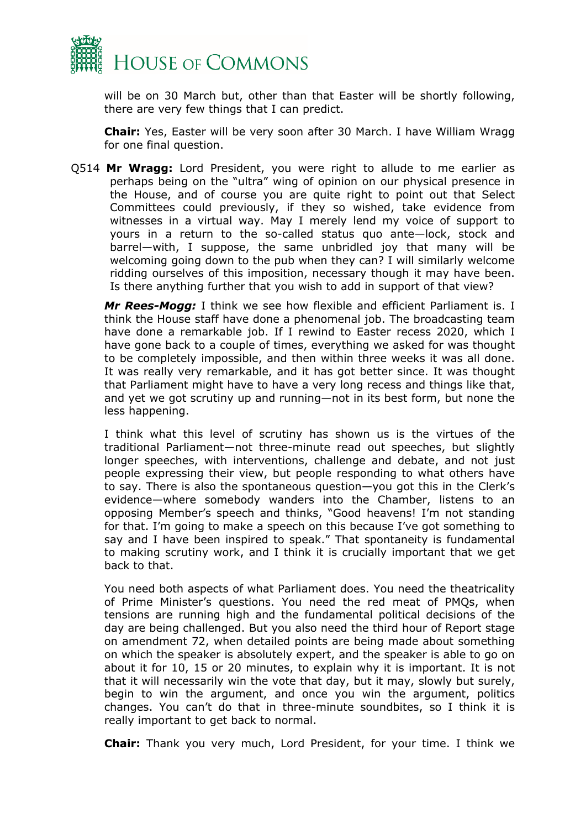

will be on 30 March but, other than that Easter will be shortly following, there are very few things that I can predict.

**Chair:** Yes, Easter will be very soon after 30 March. I have William Wragg for one final question.

Q514 **Mr Wragg:** Lord President, you were right to allude to me earlier as perhaps being on the "ultra" wing of opinion on our physical presence in the House, and of course you are quite right to point out that Select Committees could previously, if they so wished, take evidence from witnesses in a virtual way. May I merely lend my voice of support to yours in a return to the so-called status quo ante—lock, stock and barrel—with, I suppose, the same unbridled joy that many will be welcoming going down to the pub when they can? I will similarly welcome ridding ourselves of this imposition, necessary though it may have been. Is there anything further that you wish to add in support of that view?

*Mr Rees-Mogg:* I think we see how flexible and efficient Parliament is. I think the House staff have done a phenomenal job. The broadcasting team have done a remarkable job. If I rewind to Easter recess 2020, which I have gone back to a couple of times, everything we asked for was thought to be completely impossible, and then within three weeks it was all done. It was really very remarkable, and it has got better since. It was thought that Parliament might have to have a very long recess and things like that, and yet we got scrutiny up and running—not in its best form, but none the less happening.

I think what this level of scrutiny has shown us is the virtues of the traditional Parliament—not three-minute read out speeches, but slightly longer speeches, with interventions, challenge and debate, and not just people expressing their view, but people responding to what others have to say. There is also the spontaneous question—you got this in the Clerk's evidence—where somebody wanders into the Chamber, listens to an opposing Member's speech and thinks, "Good heavens! I'm not standing for that. I'm going to make a speech on this because I've got something to say and I have been inspired to speak." That spontaneity is fundamental to making scrutiny work, and I think it is crucially important that we get back to that.

You need both aspects of what Parliament does. You need the theatricality of Prime Minister's questions. You need the red meat of PMQs, when tensions are running high and the fundamental political decisions of the day are being challenged. But you also need the third hour of Report stage on amendment 72, when detailed points are being made about something on which the speaker is absolutely expert, and the speaker is able to go on about it for 10, 15 or 20 minutes, to explain why it is important. It is not that it will necessarily win the vote that day, but it may, slowly but surely, begin to win the argument, and once you win the argument, politics changes. You can't do that in three-minute soundbites, so I think it is really important to get back to normal.

**Chair:** Thank you very much, Lord President, for your time. I think we